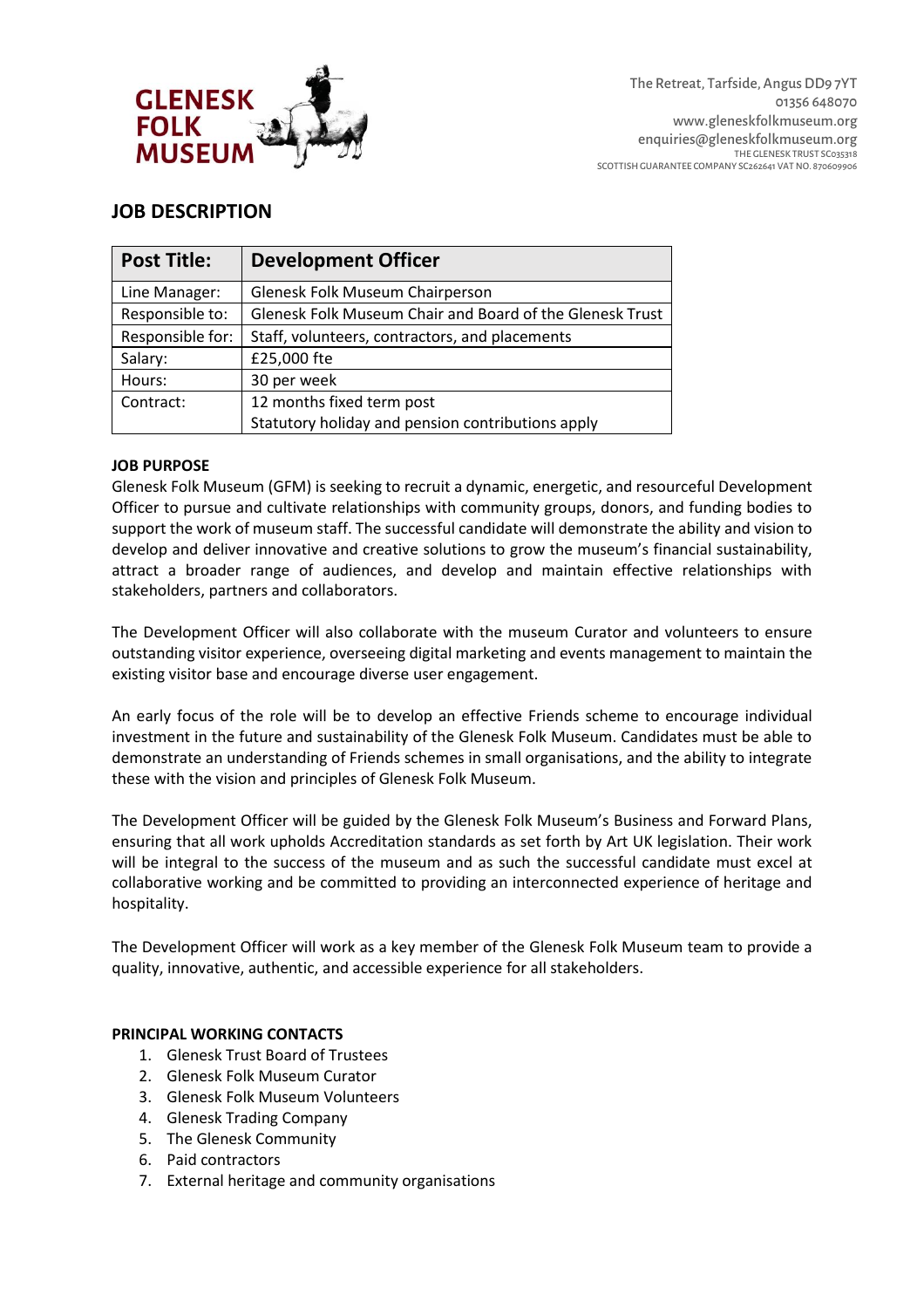

## **JOB DESCRIPTION**

| <b>Post Title:</b> | <b>Development Officer</b>                               |  |  |
|--------------------|----------------------------------------------------------|--|--|
| Line Manager:      | Glenesk Folk Museum Chairperson                          |  |  |
| Responsible to:    | Glenesk Folk Museum Chair and Board of the Glenesk Trust |  |  |
| Responsible for:   | Staff, volunteers, contractors, and placements           |  |  |
| Salary:            | £25,000 fte                                              |  |  |
| Hours:             | 30 per week                                              |  |  |
| Contract:          | 12 months fixed term post                                |  |  |
|                    | Statutory holiday and pension contributions apply        |  |  |

### **JOB PURPOSE**

Glenesk Folk Museum (GFM) is seeking to recruit a dynamic, energetic, and resourceful Development Officer to pursue and cultivate relationships with community groups, donors, and funding bodies to support the work of museum staff. The successful candidate will demonstrate the ability and vision to develop and deliver innovative and creative solutions to grow the museum's financial sustainability, attract a broader range of audiences, and develop and maintain effective relationships with stakeholders, partners and collaborators.

The Development Officer will also collaborate with the museum Curator and volunteers to ensure outstanding visitor experience, overseeing digital marketing and events management to maintain the existing visitor base and encourage diverse user engagement.

An early focus of the role will be to develop an effective Friends scheme to encourage individual investment in the future and sustainability of the Glenesk Folk Museum. Candidates must be able to demonstrate an understanding of Friends schemes in small organisations, and the ability to integrate these with the vision and principles of Glenesk Folk Museum.

The Development Officer will be guided by the Glenesk Folk Museum's Business and Forward Plans, ensuring that all work upholds Accreditation standards as set forth by Art UK legislation. Their work will be integral to the success of the museum and as such the successful candidate must excel at collaborative working and be committed to providing an interconnected experience of heritage and hospitality.

The Development Officer will work as a key member of the Glenesk Folk Museum team to provide a quality, innovative, authentic, and accessible experience for all stakeholders.

### **PRINCIPAL WORKING CONTACTS**

- 1. Glenesk Trust Board of Trustees
- 2. Glenesk Folk Museum Curator
- 3. Glenesk Folk Museum Volunteers
- 4. Glenesk Trading Company
- 5. The Glenesk Community
- 6. Paid contractors
- 7. External heritage and community organisations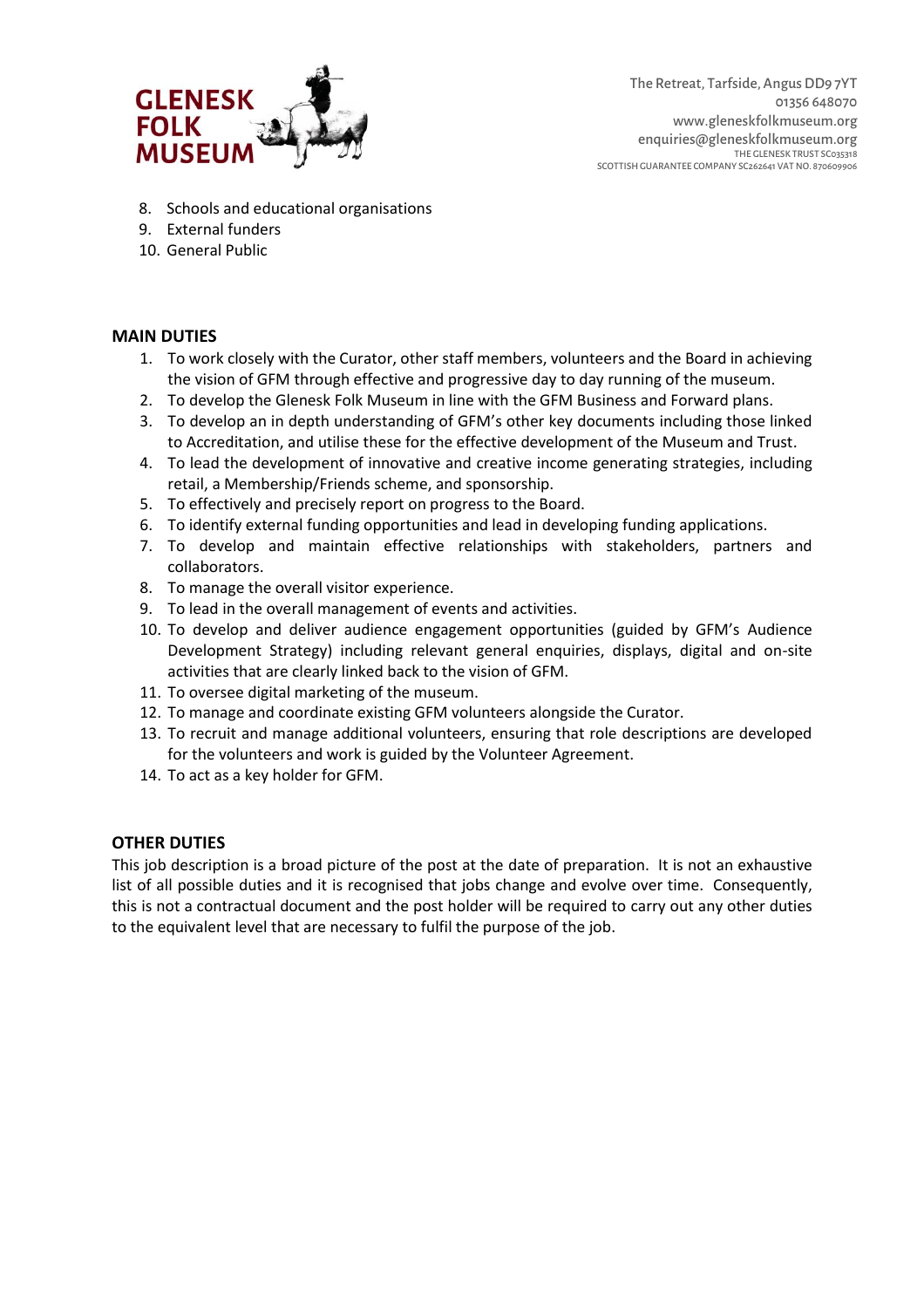

- 8. Schools and educational organisations
- 9. External funders
- 10. General Public

### **MAIN DUTIES**

- 1. To work closely with the Curator, other staff members, volunteers and the Board in achieving the vision of GFM through effective and progressive day to day running of the museum.
- 2. To develop the Glenesk Folk Museum in line with the GFM Business and Forward plans.
- 3. To develop an in depth understanding of GFM's other key documents including those linked to Accreditation, and utilise these for the effective development of the Museum and Trust.
- 4. To lead the development of innovative and creative income generating strategies, including retail, a Membership/Friends scheme, and sponsorship.
- 5. To effectively and precisely report on progress to the Board.
- 6. To identify external funding opportunities and lead in developing funding applications.
- 7. To develop and maintain effective relationships with stakeholders, partners and collaborators.
- 8. To manage the overall visitor experience.
- 9. To lead in the overall management of events and activities.
- 10. To develop and deliver audience engagement opportunities (guided by GFM's Audience Development Strategy) including relevant general enquiries, displays, digital and on-site activities that are clearly linked back to the vision of GFM.
- 11. To oversee digital marketing of the museum.
- 12. To manage and coordinate existing GFM volunteers alongside the Curator.
- 13. To recruit and manage additional volunteers, ensuring that role descriptions are developed for the volunteers and work is guided by the Volunteer Agreement.
- 14. To act as a key holder for GFM.

### **OTHER DUTIES**

This job description is a broad picture of the post at the date of preparation. It is not an exhaustive list of all possible duties and it is recognised that jobs change and evolve over time. Consequently, this is not a contractual document and the post holder will be required to carry out any other duties to the equivalent level that are necessary to fulfil the purpose of the job.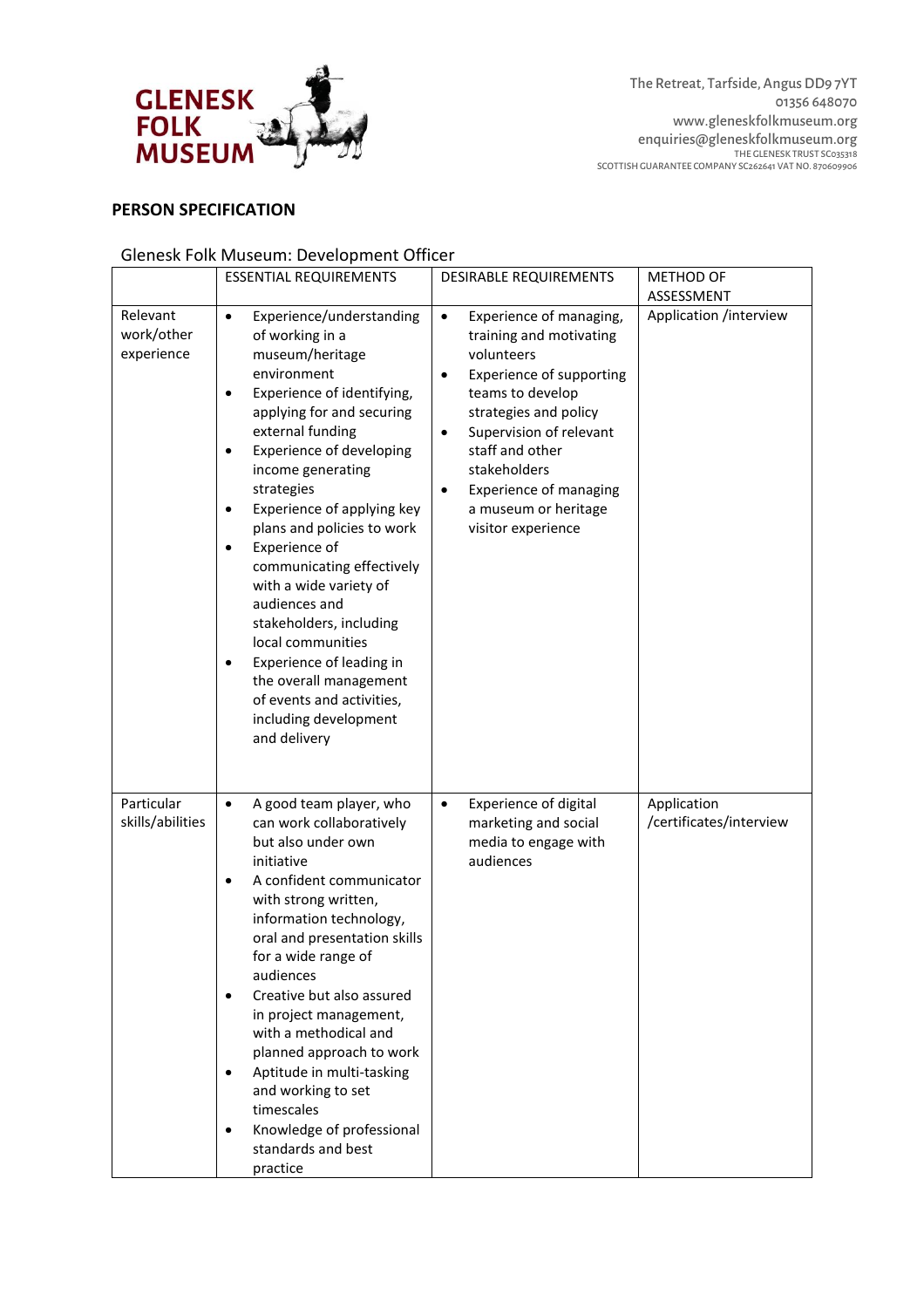

## **PERSON SPECIFICATION**

# Glenesk Folk Museum: Development Officer

|                                      | <b>ESSENTIAL REQUIREMENTS</b>                                                                                                                                                                                                                                                                                                                                                                                                                                                                                                                                                                                                                     | <b>DESIRABLE REQUIREMENTS</b>                                                                                                                                                                                                                                                                                                             | <b>METHOD OF</b>                       |
|--------------------------------------|---------------------------------------------------------------------------------------------------------------------------------------------------------------------------------------------------------------------------------------------------------------------------------------------------------------------------------------------------------------------------------------------------------------------------------------------------------------------------------------------------------------------------------------------------------------------------------------------------------------------------------------------------|-------------------------------------------------------------------------------------------------------------------------------------------------------------------------------------------------------------------------------------------------------------------------------------------------------------------------------------------|----------------------------------------|
|                                      |                                                                                                                                                                                                                                                                                                                                                                                                                                                                                                                                                                                                                                                   |                                                                                                                                                                                                                                                                                                                                           | ASSESSMENT                             |
| Relevant<br>work/other<br>experience | $\bullet$<br>Experience/understanding<br>of working in a<br>museum/heritage<br>environment<br>Experience of identifying,<br>$\bullet$<br>applying for and securing<br>external funding<br><b>Experience of developing</b><br>$\bullet$<br>income generating<br>strategies<br>Experience of applying key<br>$\bullet$<br>plans and policies to work<br>Experience of<br>$\bullet$<br>communicating effectively<br>with a wide variety of<br>audiences and<br>stakeholders, including<br>local communities<br>Experience of leading in<br>$\bullet$<br>the overall management<br>of events and activities,<br>including development<br>and delivery | Experience of managing,<br>$\bullet$<br>training and motivating<br>volunteers<br><b>Experience of supporting</b><br>$\bullet$<br>teams to develop<br>strategies and policy<br>Supervision of relevant<br>$\bullet$<br>staff and other<br>stakeholders<br><b>Experience of managing</b><br>٠<br>a museum or heritage<br>visitor experience | Application /interview                 |
| Particular<br>skills/abilities       | A good team player, who<br>$\bullet$<br>can work collaboratively<br>but also under own<br>initiative<br>A confident communicator<br>$\bullet$<br>with strong written,<br>information technology,<br>oral and presentation skills<br>for a wide range of<br>audiences<br>Creative but also assured<br>$\bullet$<br>in project management,<br>with a methodical and<br>planned approach to work<br>Aptitude in multi-tasking<br>$\bullet$<br>and working to set<br>timescales<br>Knowledge of professional<br>$\bullet$<br>standards and best<br>practice                                                                                           | <b>Experience of digital</b><br>$\bullet$<br>marketing and social<br>media to engage with<br>audiences                                                                                                                                                                                                                                    | Application<br>/certificates/interview |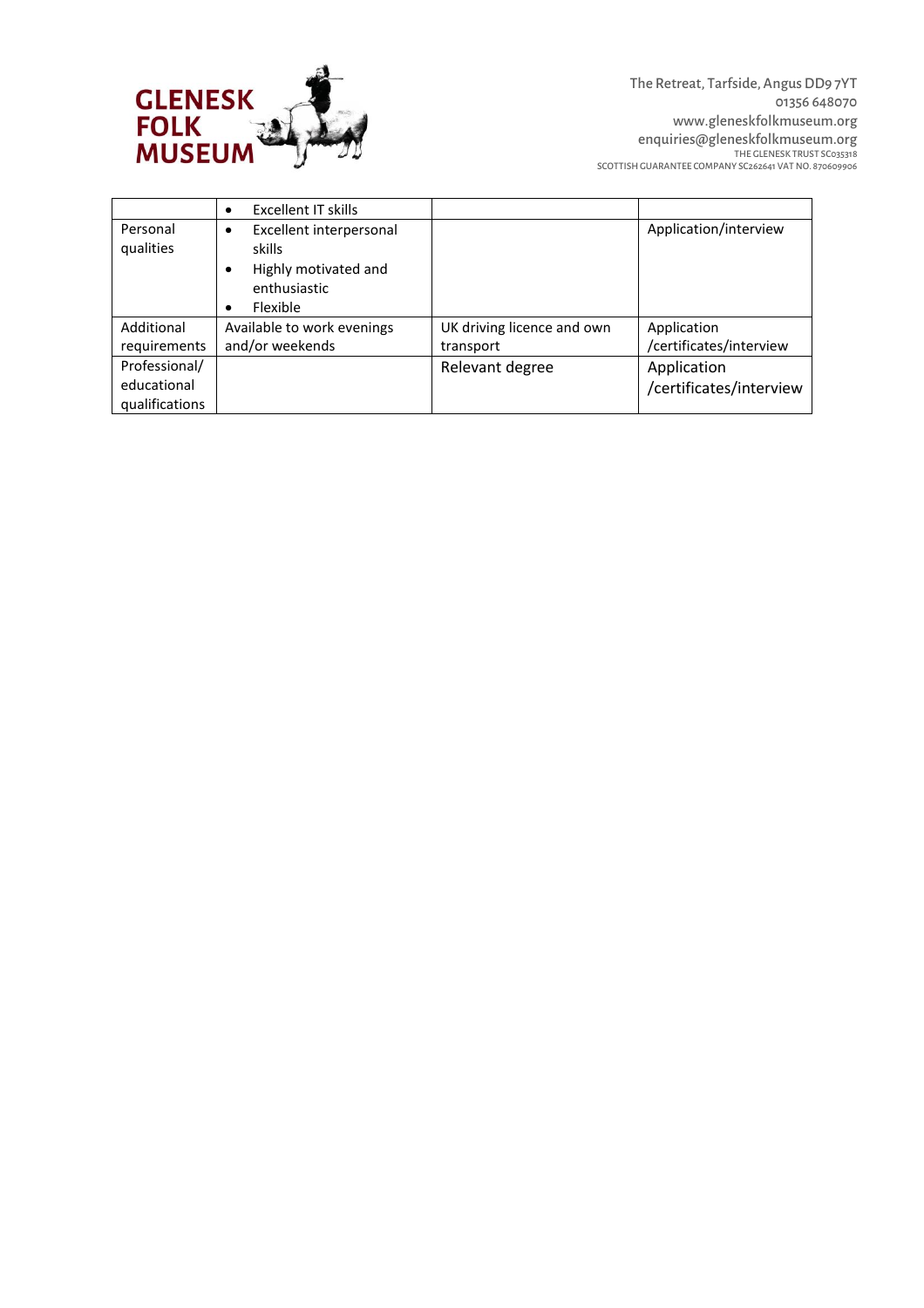

|                       | Excellent IT skills<br>$\bullet$                                                                                    |                            |                         |
|-----------------------|---------------------------------------------------------------------------------------------------------------------|----------------------------|-------------------------|
| Personal<br>qualities | Excellent interpersonal<br>٠<br>skills<br>Highly motivated and<br>٠<br>enthusiastic<br><b>Flexible</b><br>$\bullet$ |                            | Application/interview   |
| Additional            | Available to work evenings                                                                                          | UK driving licence and own | Application             |
| requirements          | and/or weekends                                                                                                     | transport                  | /certificates/interview |
| Professional/         |                                                                                                                     | Relevant degree            | Application             |
| educational           |                                                                                                                     |                            | /certificates/interview |
| qualifications        |                                                                                                                     |                            |                         |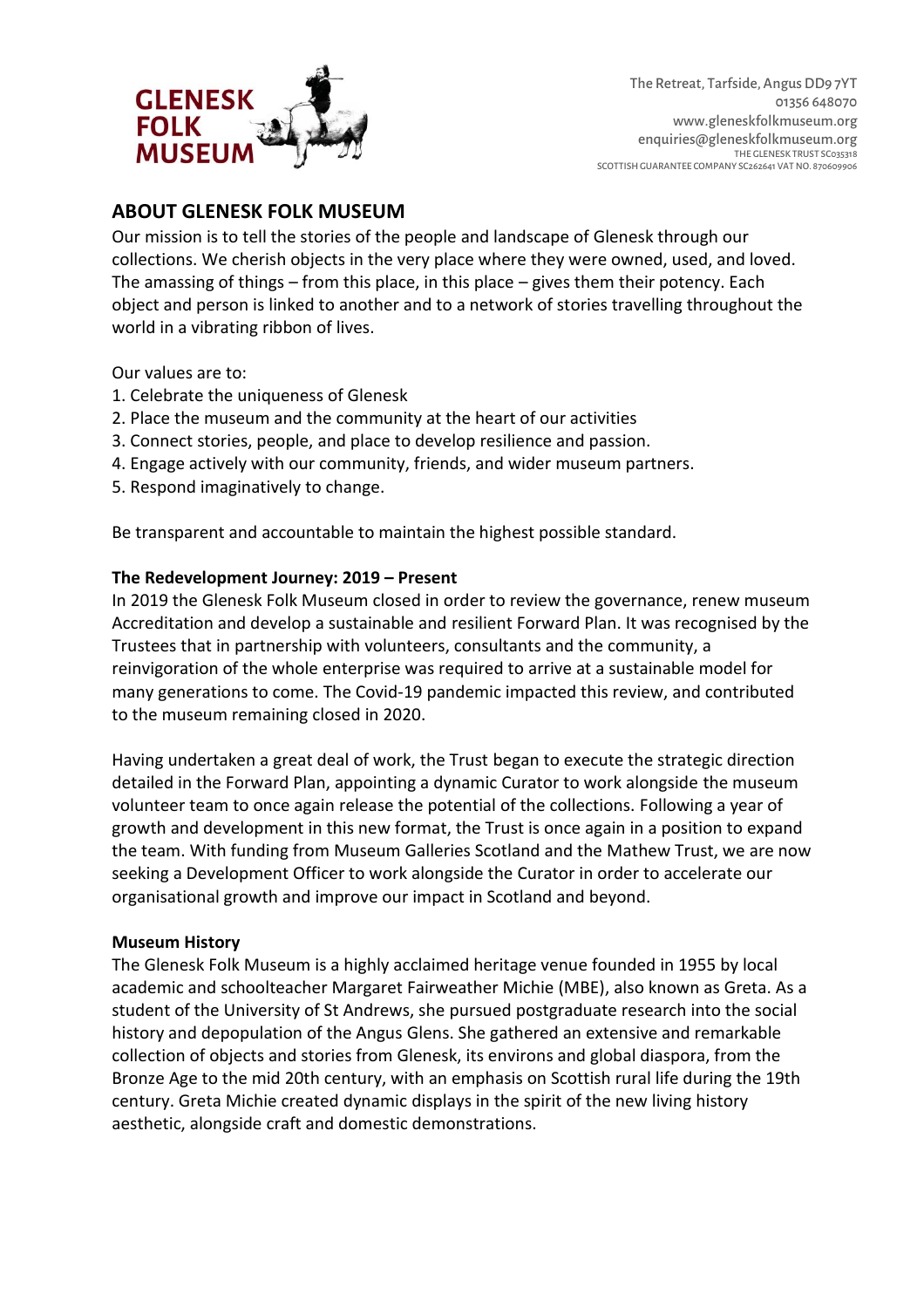

## **ABOUT GLENESK FOLK MUSEUM**

Our mission is to tell the stories of the people and landscape of Glenesk through our collections. We cherish objects in the very place where they were owned, used, and loved. The amassing of things  $-$  from this place, in this place  $-$  gives them their potency. Each object and person is linked to another and to a network of stories travelling throughout the world in a vibrating ribbon of lives.

Our values are to:

- 1. Celebrate the uniqueness of Glenesk
- 2. Place the museum and the community at the heart of our activities
- 3. Connect stories, people, and place to develop resilience and passion.
- 4. Engage actively with our community, friends, and wider museum partners.
- 5. Respond imaginatively to change.

Be transparent and accountable to maintain the highest possible standard.

### **The Redevelopment Journey: 2019 – Present**

In 2019 the Glenesk Folk Museum closed in order to review the governance, renew museum Accreditation and develop a sustainable and resilient Forward Plan. It was recognised by the Trustees that in partnership with volunteers, consultants and the community, a reinvigoration of the whole enterprise was required to arrive at a sustainable model for many generations to come. The Covid-19 pandemic impacted this review, and contributed to the museum remaining closed in 2020.

Having undertaken a great deal of work, the Trust began to execute the strategic direction detailed in the Forward Plan, appointing a dynamic Curator to work alongside the museum volunteer team to once again release the potential of the collections. Following a year of growth and development in this new format, the Trust is once again in a position to expand the team. With funding from Museum Galleries Scotland and the Mathew Trust, we are now seeking a Development Officer to work alongside the Curator in order to accelerate our organisational growth and improve our impact in Scotland and beyond.

#### **Museum History**

The Glenesk Folk Museum is a highly acclaimed heritage venue founded in 1955 by local academic and schoolteacher Margaret Fairweather Michie (MBE), also known as Greta. As a student of the University of St Andrews, she pursued postgraduate research into the social history and depopulation of the Angus Glens. She gathered an extensive and remarkable collection of objects and stories from Glenesk, its environs and global diaspora, from the Bronze Age to the mid 20th century, with an emphasis on Scottish rural life during the 19th century. Greta Michie created dynamic displays in the spirit of the new living history aesthetic, alongside craft and domestic demonstrations.